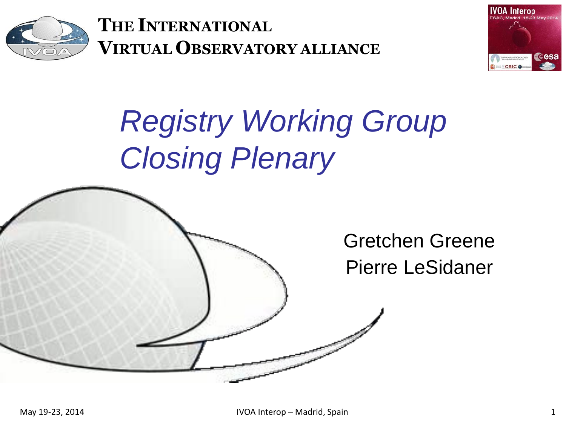

**THE INTERNATIONAL VIRTUAL OBSERVATORY ALLIANCE**



## *Registry Working Group Closing Plenary*

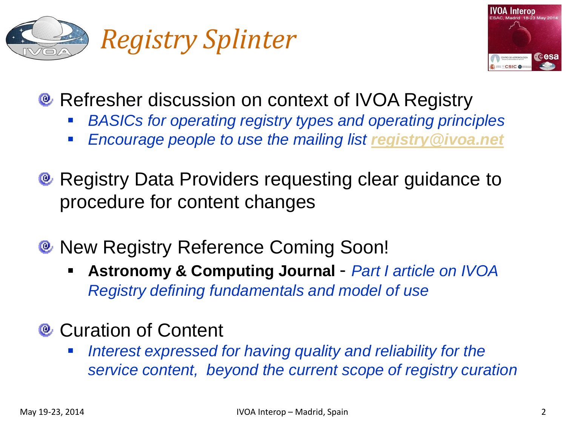



- **Refresher discussion on context of IVOA Registry** 
	- *BASICs for operating registry types and operating principles*
	- *Encourage people to use the mailing list [registry@ivoa.net](mailto:registry@ivoa.net)*
- **Registry Data Providers requesting clear guidance to** procedure for content changes
- **New Registry Reference Coming Soon!** 
	- **Astronomy & Computing Journal**  *Part I article on IVOA Registry defining fundamentals and model of use*

## <sup>®</sup> Curation of Content

 *Interest expressed for having quality and reliability for the service content, beyond the current scope of registry curation*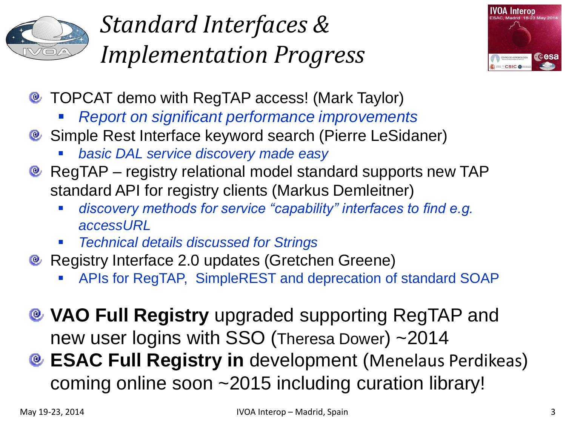

## *Standard Interfaces & Implementation Progress*



- **E** TOPCAT demo with RegTAP access! (Mark Taylor)
	- *Report on significant performance improvements*
- Simple Rest Interface keyword search (Pierre LeSidaner)
	- *basic DAL service discovery made easy*
- **@** RegTAP registry relational model standard supports new TAP standard API for registry clients (Markus Demleitner)
	- *discovery methods for service "capability" interfaces to find e.g. accessURL*
	- *Technical details discussed for Strings*
- **@ Registry Interface 2.0 updates (Gretchen Greene)** 
	- APIs for RegTAP, SimpleREST and deprecation of standard SOAP
- **VAO Full Registry** upgraded supporting RegTAP and new user logins with SSO (Theresa Dower) ~2014
- **ESAC Full Registry in** development (Menelaus Perdikeas) coming online soon ~2015 including curation library!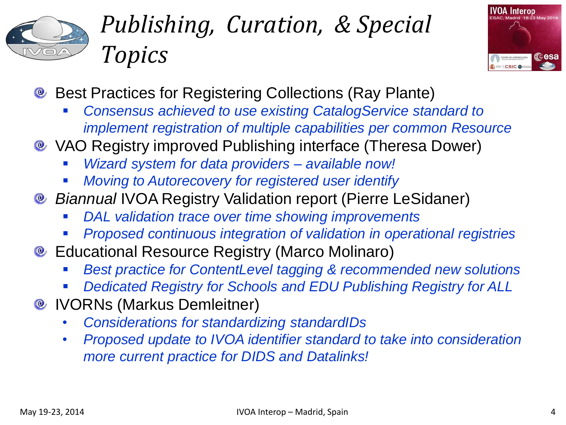

## *Publishing, Curation, & Special Topics*



- **Best Practices for Registering Collections (Ray Plante)** 
	- *Consensus achieved to use existing CatalogService standard to implement registration of multiple capabilities per common Resource*
- VAO Registry improved Publishing interface (Theresa Dower)
	- *Wizard system for data providers – available now!*
	- *Moving to Autorecovery for registered user identify*
- *Biannual* IVOA Registry Validation report (Pierre LeSidaner)
	- *DAL validation trace over time showing improvements*
	- *Proposed continuous integration of validation in operational registries*
- **Educational Resource Registry (Marco Molinaro)** 
	- *Best practice for ContentLevel tagging & recommended new solutions*
	- *Dedicated Registry for Schools and EDU Publishing Registry for ALL*
- **<sup>®</sup> IVORNs (Markus Demleitner)** 
	- *Considerations for standardizing standardIDs*
	- *Proposed update to IVOA identifier standard to take into consideration more current practice for DIDS and Datalinks!*